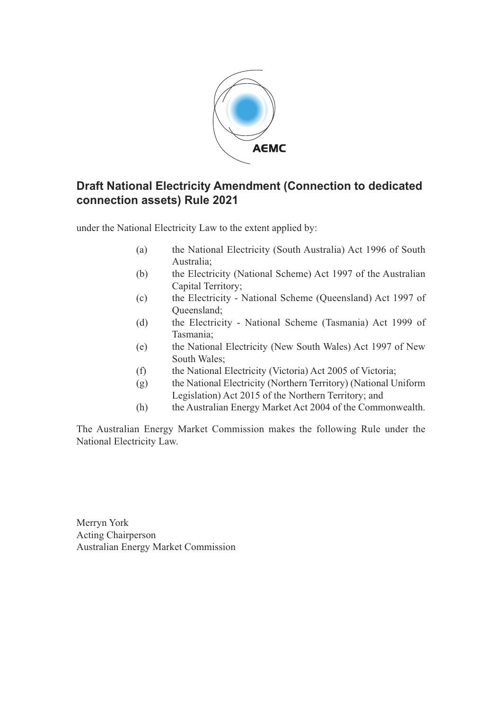

## **Draft National Electricity Amendment (Connection to dedicated connection assets) Rule 2021**

under the National Electricity Law to the extent applied by:

- (a) the National Electricity (South Australia) Act 1996 of South Australia;
- (b) the Electricity (National Scheme) Act 1997 of the Australian Capital Territory;
- (c) the Electricity National Scheme (Queensland) Act 1997 of Queensland;
- (d) the Electricity National Scheme (Tasmania) Act 1999 of Tasmania;
- (e) the National Electricity (New South Wales) Act 1997 of New South Wales;
- (f) the National Electricity (Victoria) Act 2005 of Victoria;
- (g) the National Electricity (Northern Territory) (National Uniform Legislation) Act 2015 of the Northern Territory; and
- (h) the Australian Energy Market Act 2004 of the Commonwealth.

The Australian Energy Market Commission makes the following Rule under the National Electricity Law.

Merryn York Acting Chairperson Australian Energy Market Commission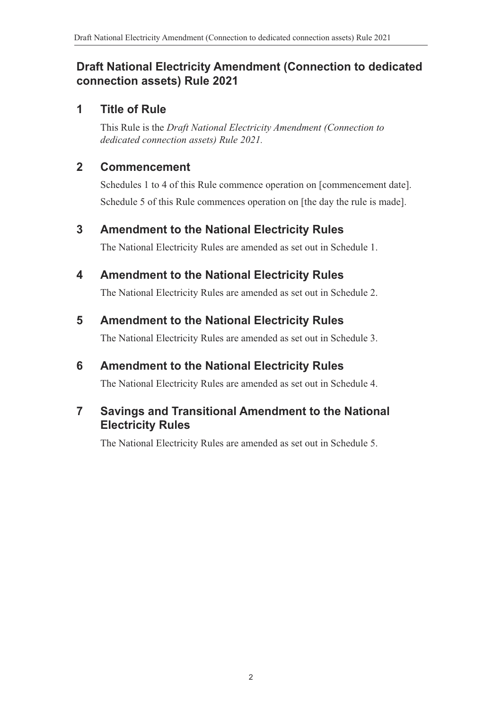## **Draft National Electricity Amendment (Connection to dedicated connection assets) Rule 2021**

## **1 Title of Rule**

This Rule is the *Draft National Electricity Amendment (Connection to dedicated connection assets) Rule 2021.*

## **2 Commencement**

Schedules 1 to 4 of this Rule commence operation on [commencement date]. Schedule 5 of this Rule commences operation on [the day the rule is made].

## **3 Amendment to the National Electricity Rules**

<span id="page-1-0"></span>The National Electricity Rules are amended as set out in [Schedule 1.](#page-2-0)

# **4 Amendment to the National Electricity Rules**

<span id="page-1-1"></span>The National Electricity Rules are amended as set out in [Schedule 2.](#page-4-0)

## **5 Amendment to the National Electricity Rules**

<span id="page-1-2"></span>The National Electricity Rules are amended as set out in [Schedule 3.](#page-26-0)

# **6 Amendment to the National Electricity Rules**

<span id="page-1-3"></span>The National Electricity Rules are amended as set out in [Schedule 4.](#page-28-0)

## **7 Savings and Transitional Amendment to the National Electricity Rules**

<span id="page-1-4"></span>The National Electricity Rules are amended as set out in [Schedule 5.](#page-34-0)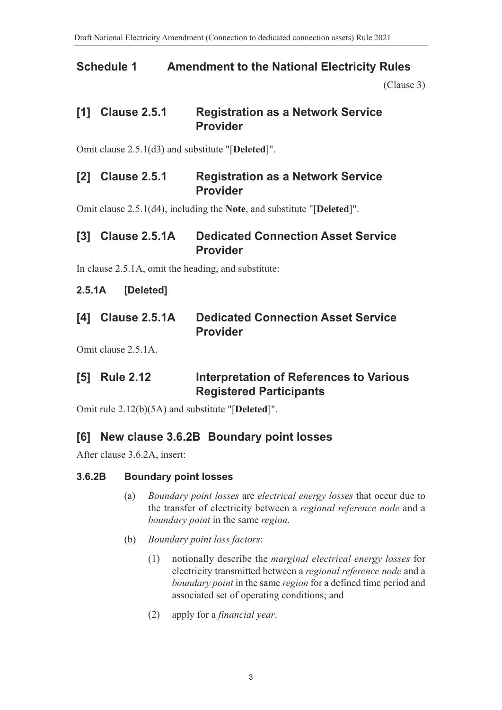## **Schedule 1 Amendment to the National Electricity Rules**

<span id="page-2-0"></span>[\(Clause 3\)](#page-1-0)

### **[1] Clause 2.5.1 Registration as a Network Service Provider**

Omit clause 2.5.1(d3) and substitute "[**Deleted**]".

#### **[2] Clause 2.5.1 Registration as a Network Service Provider**

Omit clause 2.5.1(d4), including the **Note**, and substitute "[**Deleted**]".

### **[3] Clause 2.5.1A Dedicated Connection Asset Service Provider**

In clause 2.5.1A, omit the heading, and substitute:

#### **2.5.1A [Deleted]**

| [4] Clause 2.5.1A | <b>Dedicated Connection Asset Service</b> |  |
|-------------------|-------------------------------------------|--|
|                   | <b>Provider</b>                           |  |

Omit clause 2.5.1A.

## **[5] Rule 2.12 Interpretation of References to Various Registered Participants**

Omit rule 2.12(b)(5A) and substitute "[**Deleted**]".

### **[6] New clause 3.6.2B Boundary point losses**

After clause 3.6.2A, insert:

#### **3.6.2B Boundary point losses**

- (a) *Boundary point losses* are *electrical energy losses* that occur due to the transfer of electricity between a *regional reference node* and a *boundary point* in the same *region*.
- (b) *Boundary point loss factors*:
	- (1) notionally describe the *marginal electrical energy losses* for electricity transmitted between a *regional reference node* and a *boundary point* in the same *region* for a defined time period and associated set of operating conditions; and
	- (2) apply for a *financial year*.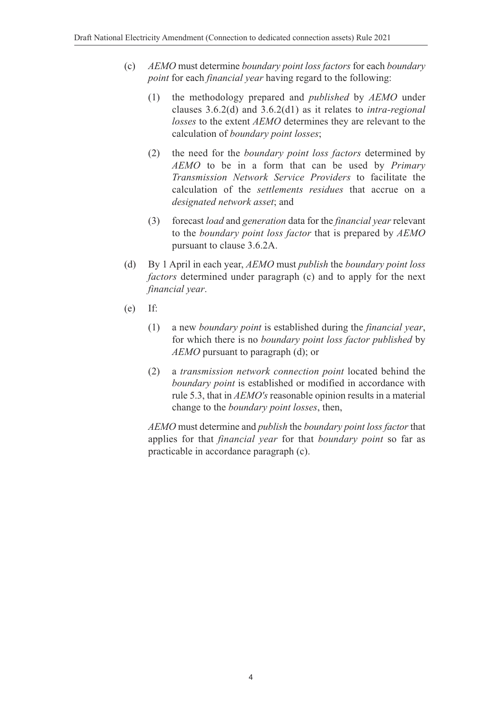- (c) *AEMO* must determine *boundary point loss factors* for each *boundary point* for each *financial year* having regard to the following:
	- (1) the methodology prepared and *published* by *AEMO* under clauses 3.6.2(d) and 3.6.2(d1) as it relates to *intra-regional losses* to the extent *AEMO* determines they are relevant to the calculation of *boundary point losses*;
	- (2) the need for the *boundary point loss factors* determined by *AEMO* to be in a form that can be used by *Primary Transmission Network Service Providers* to facilitate the calculation of the *settlements residues* that accrue on a *designated network asset*; and
	- (3) forecast *load* and *generation* data for the *financial year* relevant to the *boundary point loss factor* that is prepared by *AEMO* pursuant to clause 3.6.2A.
- (d) By 1 April in each year, *AEMO* must *publish* the *boundary point loss factors* determined under paragraph (c) and to apply for the next *financial year*.
- (e) If:
	- (1) a new *boundary point* is established during the *financial year*, for which there is no *boundary point loss factor published* by *AEMO* pursuant to paragraph (d); or
	- (2) a *transmission network connection point* located behind the *boundary point* is established or modified in accordance with rule 5.3, that in *AEMO's* reasonable opinion results in a material change to the *boundary point losses*, then,

*AEMO* must determine and *publish* the *boundary point loss factor* that applies for that *financial year* for that *boundary point* so far as practicable in accordance paragraph (c).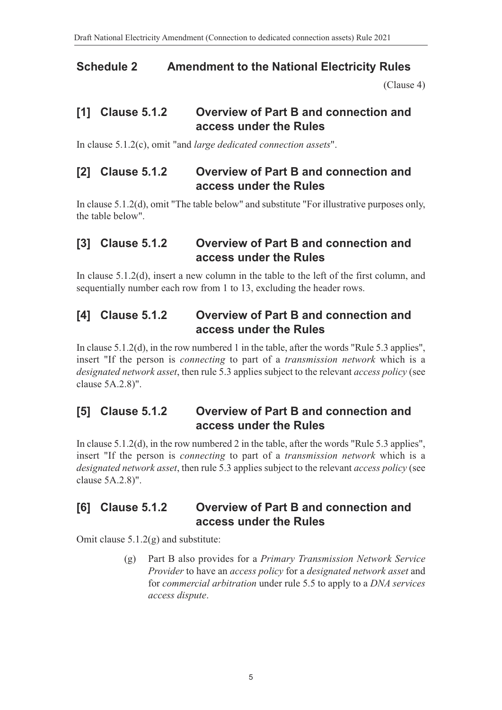## **Schedule 2 Amendment to the National Electricity Rules**

<span id="page-4-0"></span>[\(Clause 4\)](#page-1-1)

### **[1] Clause 5.1.2 Overview of Part B and connection and access under the Rules**

In clause 5.1.2(c), omit "and *large dedicated connection assets*".

### **[2] Clause 5.1.2 Overview of Part B and connection and access under the Rules**

In clause 5.1.2(d), omit "The table below" and substitute "For illustrative purposes only, the table below".

### **[3] Clause 5.1.2 Overview of Part B and connection and access under the Rules**

In clause 5.1.2(d), insert a new column in the table to the left of the first column, and sequentially number each row from 1 to 13, excluding the header rows.

### **[4] Clause 5.1.2 Overview of Part B and connection and access under the Rules**

In clause 5.1.2(d), in the row numbered 1 in the table, after the words "Rule 5.3 applies", insert "If the person is *connecting* to part of a *transmission network* which is a *designated network asset*, then rule 5.3 applies subject to the relevant *access policy* (see clause 5A.2.8)".

### **[5] Clause 5.1.2 Overview of Part B and connection and access under the Rules**

In clause 5.1.2(d), in the row numbered 2 in the table, after the words "Rule 5.3 applies", insert "If the person is *connecting* to part of a *transmission network* which is a *designated network asset*, then rule 5.3 applies subject to the relevant *access policy* (see clause 5A.2.8)".

#### **[6] Clause 5.1.2 Overview of Part B and connection and access under the Rules**

Omit clause 5.1.2(g) and substitute:

(g) Part B also provides for a *Primary Transmission Network Service Provider* to have an *access policy* for a *designated network asset* and for *commercial arbitration* under rule 5.5 to apply to a *DNA services access dispute*.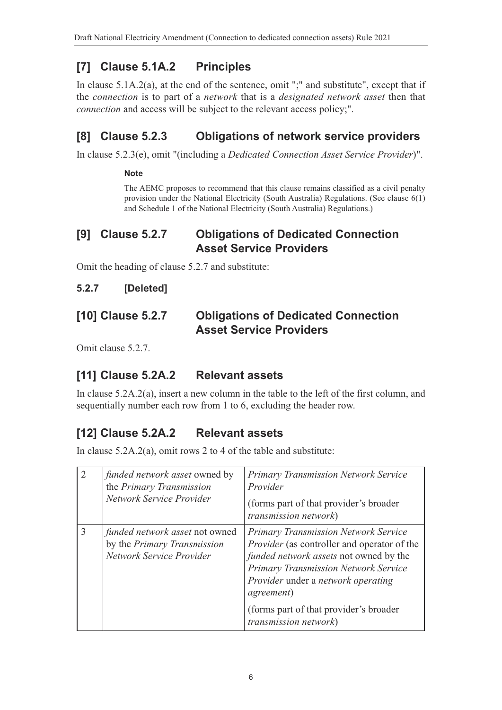# **[7] Clause 5.1A.2 Principles**

In clause 5.1A.2(a), at the end of the sentence, omit ";" and substitute", except that if the *connection* is to part of a *network* that is a *designated network asset* then that *connection* and access will be subject to the relevant access policy;".

# **[8] Clause 5.2.3 Obligations of network service providers**

In clause 5.2.3(e), omit "(including a *Dedicated Connection Asset Service Provider*)".

#### **Note**

The AEMC proposes to recommend that this clause remains classified as a civil penalty provision under the National Electricity (South Australia) Regulations. (See clause 6(1) and Schedule 1 of the National Electricity (South Australia) Regulations.)

### **[9] Clause 5.2.7 Obligations of Dedicated Connection Asset Service Providers**

Omit the heading of clause 5.2.7 and substitute:

#### **5.2.7 [Deleted]**

### **[10] Clause 5.2.7 Obligations of Dedicated Connection Asset Service Providers**

Omit clause 5.2.7.

# **[11] Clause 5.2A.2 Relevant assets**

In clause 5.2A.2(a), insert a new column in the table to the left of the first column, and sequentially number each row from 1 to 6, excluding the header row.

# **[12] Clause 5.2A.2 Relevant assets**

In clause 5.2A.2(a), omit rows 2 to 4 of the table and substitute:

| $\overline{2}$ | <i>funded network asset</i> owned by<br>the Primary Transmission<br>Network Service Provider     | <b>Primary Transmission Network Service</b><br>Provider<br>(forms part of that provider's broader)<br>transmission network)                                                                                                                                                                                                        |
|----------------|--------------------------------------------------------------------------------------------------|------------------------------------------------------------------------------------------------------------------------------------------------------------------------------------------------------------------------------------------------------------------------------------------------------------------------------------|
| 3              | <i>funded network asset</i> not owned<br>by the Primary Transmission<br>Network Service Provider | <b>Primary Transmission Network Service</b><br><i>Provider</i> (as controller and operator of the<br>funded network assets not owned by the<br><b>Primary Transmission Network Service</b><br>Provider under a network operating<br><i>agreement</i> )<br>(forms part of that provider's broader)<br><i>transmission network</i> ) |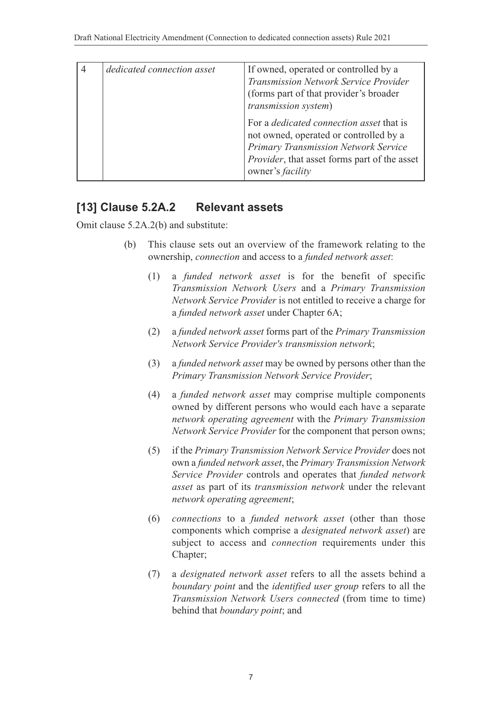| dedicated connection asset | If owned, operated or controlled by a<br><b>Transmission Network Service Provider</b><br>(forms part of that provider's broader)<br><i>transmission system</i> )                                                     |
|----------------------------|----------------------------------------------------------------------------------------------------------------------------------------------------------------------------------------------------------------------|
|                            | For a <i>dedicated connection asset</i> that is<br>not owned, operated or controlled by a<br>Primary Transmission Network Service<br><i>Provider</i> , that asset forms part of the asset<br>owner's <i>facility</i> |

#### **[13] Clause 5.2A.2 Relevant assets**

Omit clause 5.2A.2(b) and substitute:

- (b) This clause sets out an overview of the framework relating to the ownership, *connection* and access to a *funded network asset*:
	- (1) a *funded network asset* is for the benefit of specific *Transmission Network Users* and a *Primary Transmission Network Service Provider* is not entitled to receive a charge for a *funded network asset* under Chapter 6A;
	- (2) a *funded network asset* forms part of the *Primary Transmission Network Service Provider's transmission network*;
	- (3) a *funded network asset* may be owned by persons other than the *Primary Transmission Network Service Provider*;
	- (4) a *funded network asset* may comprise multiple components owned by different persons who would each have a separate *network operating agreement* with the *Primary Transmission Network Service Provider* for the component that person owns;
	- (5) if the *Primary Transmission Network Service Provider* does not own a *funded network asset*, the *Primary Transmission Network Service Provider* controls and operates that *funded network asset* as part of its *transmission network* under the relevant *network operating agreement*;
	- (6) *connections* to a *funded network asset* (other than those components which comprise a *designated network asset*) are subject to access and *connection* requirements under this Chapter;
	- (7) a *designated network asset* refers to all the assets behind a *boundary point* and the *identified user group* refers to all the *Transmission Network Users connected* (from time to time) behind that *boundary point*; and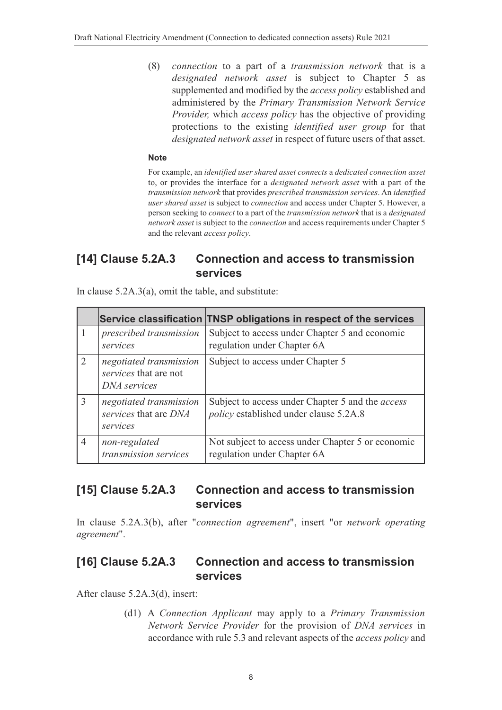(8) *connection* to a part of a *transmission network* that is a *designated network asset* is subject to Chapter 5 as supplemented and modified by the *access policy* established and administered by the *Primary Transmission Network Service Provider,* which *access policy* has the objective of providing protections to the existing *identified user group* for that *designated network asset* in respect of future users of that asset.

#### **Note**

For example, an *identified user shared asset connects* a *dedicated connection asset* to, or provides the interface for a *designated network asset* with a part of the *transmission network* that provides *prescribed transmission services*. An *identified user shared asset* is subject to *connection* and access under Chapter 5. However, a person seeking to *connect* to a part of the *transmission network* that is a *designated network asset* is subject to the *connection* and access requirements under Chapter 5 and the relevant *access policy*.

#### **[14] Clause 5.2A.3 Connection and access to transmission services**

In clause 5.2A.3(a), omit the table, and substitute:

|                |                                                                  | Service classification TNSP obligations in respect of the services                                       |
|----------------|------------------------------------------------------------------|----------------------------------------------------------------------------------------------------------|
|                | prescribed transmission<br>services                              | Subject to access under Chapter 5 and economic<br>regulation under Chapter 6A                            |
| $\overline{2}$ | negotiated transmission<br>services that are not<br>DNA services | Subject to access under Chapter 5                                                                        |
| 3              | negotiated transmission<br>services that are DNA<br>services     | Subject to access under Chapter 5 and the <i>access</i><br><i>policy</i> established under clause 5.2A.8 |
| $\overline{4}$ | non-regulated<br>transmission services                           | Not subject to access under Chapter 5 or economic<br>regulation under Chapter 6A                         |

#### **[15] Clause 5.2A.3 Connection and access to transmission services**

In clause 5.2A.3(b), after "*connection agreement*", insert "or *network operating agreement*".

#### **[16] Clause 5.2A.3 Connection and access to transmission services**

After clause 5.2A.3(d), insert:

(d1) A *Connection Applicant* may apply to a *Primary Transmission Network Service Provider* for the provision of *DNA services* in accordance with rule 5.3 and relevant aspects of the *access policy* and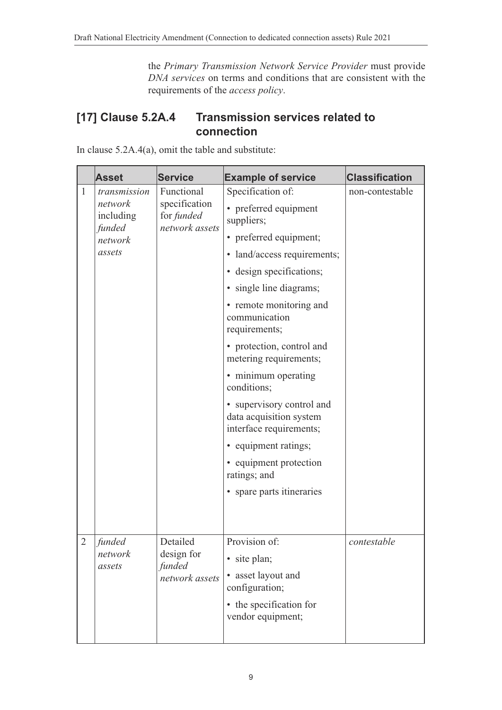the *Primary Transmission Network Service Provider* must provide *DNA services* on terms and conditions that are consistent with the requirements of the *access policy*.

## **[17] Clause 5.2A.4 Transmission services related to connection**

In clause 5.2A.4(a), omit the table and substitute:

|                | <b>Asset</b>                                                                                                  | <b>Service</b>                                                                     | <b>Example of service</b>                                                       | <b>Classification</b> |
|----------------|---------------------------------------------------------------------------------------------------------------|------------------------------------------------------------------------------------|---------------------------------------------------------------------------------|-----------------------|
| $\mathbf{1}$   | Functional<br>transmission<br>specification<br>network<br>including<br>for funded<br>network assets<br>funded | Specification of:<br>• preferred equipment<br>suppliers;<br>• preferred equipment; | non-contestable                                                                 |                       |
|                | network<br>assets                                                                                             |                                                                                    | • land/access requirements;                                                     |                       |
|                |                                                                                                               |                                                                                    |                                                                                 |                       |
|                |                                                                                                               |                                                                                    | • design specifications;                                                        |                       |
|                |                                                                                                               |                                                                                    | • single line diagrams;                                                         |                       |
|                |                                                                                                               |                                                                                    | • remote monitoring and<br>communication<br>requirements;                       |                       |
|                |                                                                                                               |                                                                                    | • protection, control and<br>metering requirements;                             |                       |
|                |                                                                                                               |                                                                                    | • minimum operating<br>conditions;                                              |                       |
|                |                                                                                                               |                                                                                    | • supervisory control and<br>data acquisition system<br>interface requirements; |                       |
|                |                                                                                                               |                                                                                    | • equipment ratings;                                                            |                       |
|                |                                                                                                               |                                                                                    | • equipment protection<br>ratings; and                                          |                       |
|                |                                                                                                               |                                                                                    | • spare parts itineraries                                                       |                       |
|                |                                                                                                               |                                                                                    |                                                                                 |                       |
| $\overline{2}$ | funded                                                                                                        | Detailed                                                                           | Provision of:                                                                   | contestable           |
|                | network<br>assets                                                                                             | design for<br>funded                                                               | site plan;<br>$\bullet$                                                         |                       |
|                |                                                                                                               | network assets                                                                     | • asset layout and<br>configuration;                                            |                       |
|                |                                                                                                               |                                                                                    | • the specification for<br>vendor equipment;                                    |                       |
|                |                                                                                                               |                                                                                    |                                                                                 |                       |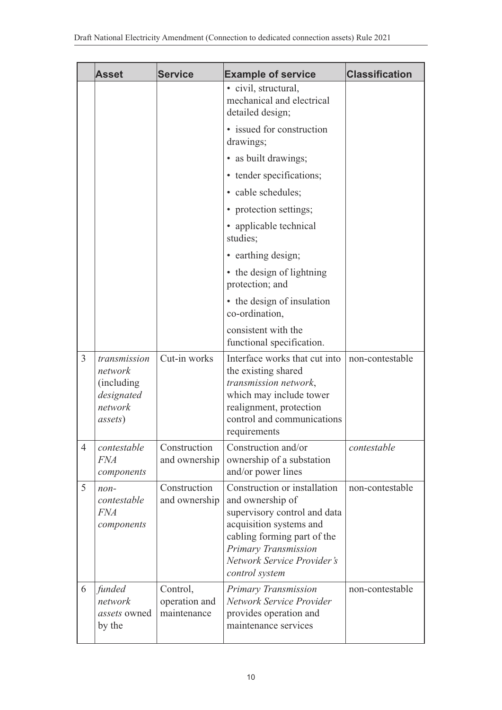|                | <b>Asset</b>                                                                       | <b>Service</b>                           | <b>Example of service</b>                                                                                                                                                                                          | <b>Classification</b> |
|----------------|------------------------------------------------------------------------------------|------------------------------------------|--------------------------------------------------------------------------------------------------------------------------------------------------------------------------------------------------------------------|-----------------------|
|                |                                                                                    |                                          | • civil, structural,<br>mechanical and electrical<br>detailed design;                                                                                                                                              |                       |
|                |                                                                                    |                                          | • issued for construction<br>drawings;                                                                                                                                                                             |                       |
|                |                                                                                    |                                          | • as built drawings;                                                                                                                                                                                               |                       |
|                |                                                                                    |                                          | • tender specifications;                                                                                                                                                                                           |                       |
|                |                                                                                    |                                          | • cable schedules;                                                                                                                                                                                                 |                       |
|                |                                                                                    |                                          | • protection settings;                                                                                                                                                                                             |                       |
|                |                                                                                    |                                          | • applicable technical<br>studies;                                                                                                                                                                                 |                       |
|                |                                                                                    |                                          | • earthing design;                                                                                                                                                                                                 |                       |
|                |                                                                                    |                                          | • the design of lightning<br>protection; and                                                                                                                                                                       |                       |
|                |                                                                                    |                                          | • the design of insulation<br>co-ordination,                                                                                                                                                                       |                       |
|                |                                                                                    |                                          | consistent with the<br>functional specification.                                                                                                                                                                   |                       |
| $\overline{3}$ | transmission<br>network<br>(including)<br>designated<br>network<br><i>assets</i> ) | Cut-in works                             | Interface works that cut into<br>the existing shared<br>transmission network,<br>which may include tower<br>realignment, protection<br>control and communications<br>requirements                                  | non-contestable       |
| $\overline{4}$ | contestable<br><i>FNA</i><br>components                                            | Construction<br>and ownership            | Construction and/or<br>ownership of a substation<br>and/or power lines                                                                                                                                             | contestable           |
| 5              | $non-$<br>contestable<br><b>FNA</b><br>components                                  | Construction<br>and ownership            | Construction or installation<br>and ownership of<br>supervisory control and data<br>acquisition systems and<br>cabling forming part of the<br>Primary Transmission<br>Network Service Provider's<br>control system | non-contestable       |
| 6              | funded<br>network<br><i>assets</i> owned<br>by the                                 | Control,<br>operation and<br>maintenance | Primary Transmission<br>Network Service Provider<br>provides operation and<br>maintenance services                                                                                                                 | non-contestable       |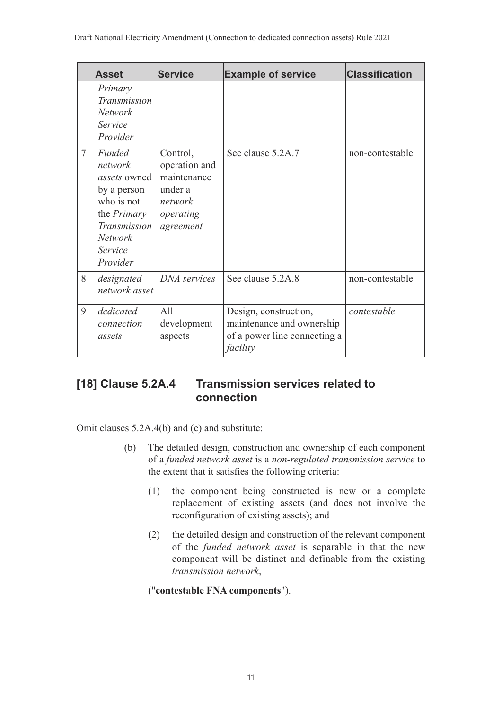|                | <b>Asset</b>                                                                                                                                                | <b>Service</b>                                                                           | <b>Example of service</b>                                                                      | <b>Classification</b> |
|----------------|-------------------------------------------------------------------------------------------------------------------------------------------------------------|------------------------------------------------------------------------------------------|------------------------------------------------------------------------------------------------|-----------------------|
|                | Primary<br>Transmission<br><b>Network</b><br>Service<br>Provider                                                                                            |                                                                                          |                                                                                                |                       |
| $\overline{7}$ | <b>Funded</b><br>network<br><i>assets</i> owned<br>by a person<br>who is not<br>the <i>Primary</i><br>Transmission<br><b>Network</b><br>Service<br>Provider | Control,<br>operation and<br>maintenance<br>under a<br>network<br>operating<br>agreement | See clause 5.2A.7                                                                              | non-contestable       |
| 8              | designated<br>network asset                                                                                                                                 | DNA services                                                                             | See clause 5.2A.8                                                                              | non-contestable       |
| 9              | dedicated<br>connection<br>assets                                                                                                                           | All<br>development<br>aspects                                                            | Design, construction,<br>maintenance and ownership<br>of a power line connecting a<br>facility | contestable           |

# **[18] Clause 5.2A.4 Transmission services related to connection**

Omit clauses 5.2A.4(b) and (c) and substitute:

- (b) The detailed design, construction and ownership of each component of a *funded network asset* is a *non-regulated transmission service* to the extent that it satisfies the following criteria:
	- (1) the component being constructed is new or a complete replacement of existing assets (and does not involve the reconfiguration of existing assets); and
	- (2) the detailed design and construction of the relevant component of the *funded network asset* is separable in that the new component will be distinct and definable from the existing *transmission network*,

("**contestable FNA components**").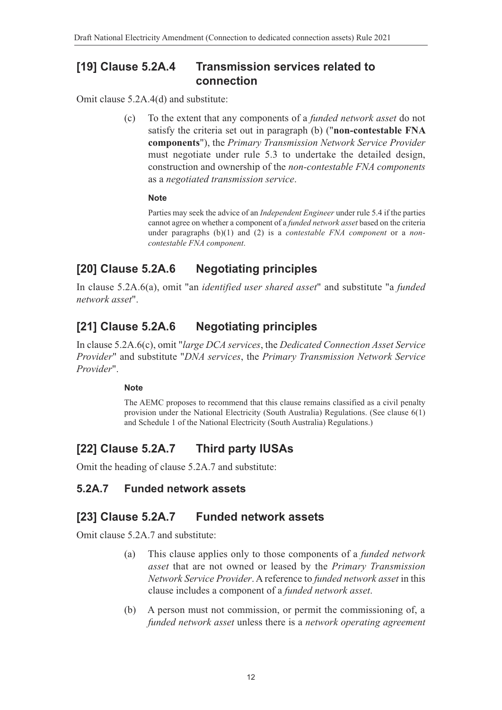#### **[19] Clause 5.2A.4 Transmission services related to connection**

Omit clause 5.2A.4(d) and substitute:

(c) To the extent that any components of a *funded network asset* do not satisfy the criteria set out in paragraph (b) ("**non-contestable FNA components**"), the *Primary Transmission Network Service Provider* must negotiate under rule 5.3 to undertake the detailed design, construction and ownership of the *non-contestable FNA components* as a *negotiated transmission service*.

#### **Note**

Parties may seek the advice of an *Independent Engineer* under rule 5.4 if the parties cannot agree on whether a component of a *funded network asset* based on the criteria under paragraphs (b)(1) and (2) is a *contestable FNA component* or a *noncontestable FNA component*.

# **[20] Clause 5.2A.6 Negotiating principles**

In clause 5.2A.6(a), omit "an *identified user shared asset*" and substitute "a *funded network asset*".

## **[21] Clause 5.2A.6 Negotiating principles**

In clause 5.2A.6(c), omit "*large DCA services*, the *Dedicated Connection Asset Service Provider*" and substitute "*DNA services*, the *Primary Transmission Network Service Provider*".

#### **Note**

The AEMC proposes to recommend that this clause remains classified as a civil penalty provision under the National Electricity (South Australia) Regulations. (See clause 6(1) and Schedule 1 of the National Electricity (South Australia) Regulations.)

# **[22] Clause 5.2A.7 Third party IUSAs**

Omit the heading of clause 5.2A.7 and substitute:

#### **5.2A.7 Funded network assets**

#### **[23] Clause 5.2A.7 Funded network assets**

Omit clause 5.2A.7 and substitute:

- (a) This clause applies only to those components of a *funded network asset* that are not owned or leased by the *Primary Transmission Network Service Provider*. A reference to *funded network asset* in this clause includes a component of a *funded network asset*.
- (b) A person must not commission, or permit the commissioning of, a *funded network asset* unless there is a *network operating agreement*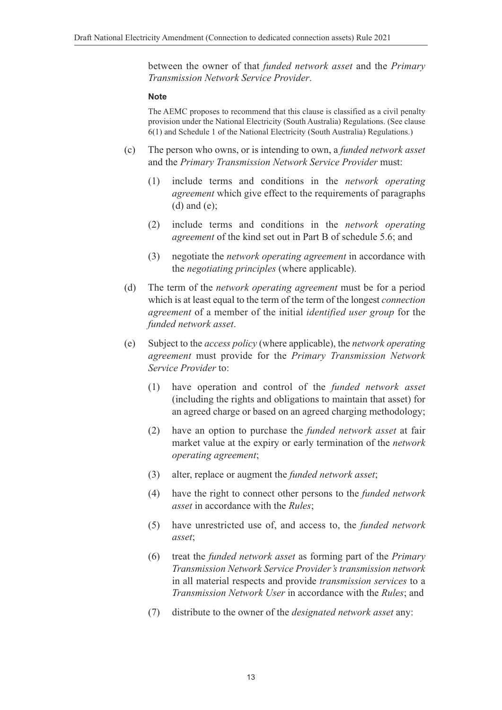between the owner of that *funded network asset* and the *Primary Transmission Network Service Provider*.

#### **Note**

The AEMC proposes to recommend that this clause is classified as a civil penalty provision under the National Electricity (South Australia) Regulations. (See clause 6(1) and Schedule 1 of the National Electricity (South Australia) Regulations.)

- (c) The person who owns, or is intending to own, a *funded network asset* and the *Primary Transmission Network Service Provider* must:
	- (1) include terms and conditions in the *network operating agreement* which give effect to the requirements of paragraphs (d) and (e);
	- (2) include terms and conditions in the *network operating agreement* of the kind set out in Part B of schedule 5.6; and
	- (3) negotiate the *network operating agreement* in accordance with the *negotiating principles* (where applicable).
- (d) The term of the *network operating agreement* must be for a period which is at least equal to the term of the term of the longest *connection agreement* of a member of the initial *identified user group* for the *funded network asset*.
- (e) Subject to the *access policy* (where applicable), the *network operating agreement* must provide for the *Primary Transmission Network Service Provider* to:
	- (1) have operation and control of the *funded network asset* (including the rights and obligations to maintain that asset) for an agreed charge or based on an agreed charging methodology;
	- (2) have an option to purchase the *funded network asset* at fair market value at the expiry or early termination of the *network operating agreement*;
	- (3) alter, replace or augment the *funded network asset*;
	- (4) have the right to connect other persons to the *funded network asset* in accordance with the *Rules*;
	- (5) have unrestricted use of, and access to, the *funded network asset*;
	- (6) treat the *funded network asset* as forming part of the *Primary Transmission Network Service Provider's transmission network* in all material respects and provide *transmission services* to a *Transmission Network User* in accordance with the *Rules*; and
	- (7) distribute to the owner of the *designated network asset* any: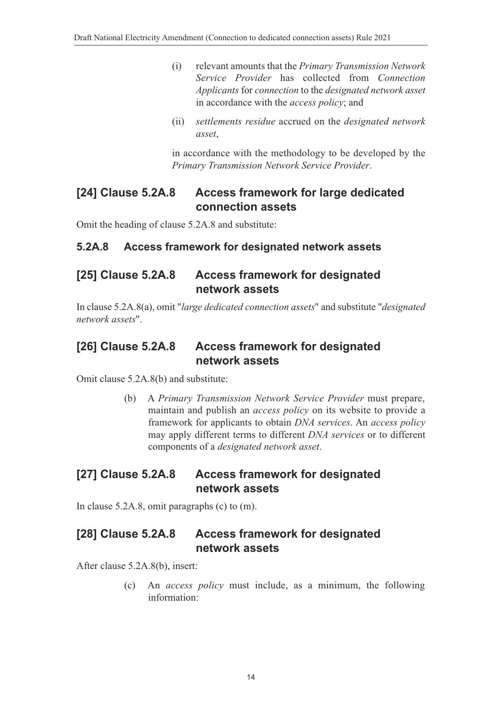- (i) relevant amounts that the *Primary Transmission Network Service Provider* has collected from *Connection Applicants* for *connection* to the *designated network asset* in accordance with the *access policy*; and
- (ii) *settlements residue* accrued on the *designated network asset*,

in accordance with the methodology to be developed by the *Primary Transmission Network Service Provider*.

### **[24] Clause 5.2A.8 Access framework for large dedicated connection assets**

Omit the heading of clause 5.2A.8 and substitute:

#### **5.2A.8 Access framework for designated network assets**

## **[25] Clause 5.2A.8 Access framework for designated network assets**

In clause 5.2A.8(a), omit "*large dedicated connection assets*" and substitute "*designated network assets*".

#### **[26] Clause 5.2A.8 Access framework for designated network assets**

Omit clause 5.2A.8(b) and substitute:

(b) A *Primary Transmission Network Service Provider* must prepare, maintain and publish an *access policy* on its website to provide a framework for applicants to obtain *DNA services*. An *access policy* may apply different terms to different *DNA services* or to different components of a *designated network asset*.

## **[27] Clause 5.2A.8 Access framework for designated network assets**

In clause 5.2A.8, omit paragraphs (c) to (m).

### **[28] Clause 5.2A.8 Access framework for designated network assets**

After clause 5.2A.8(b), insert:

(c) An *access policy* must include, as a minimum, the following information: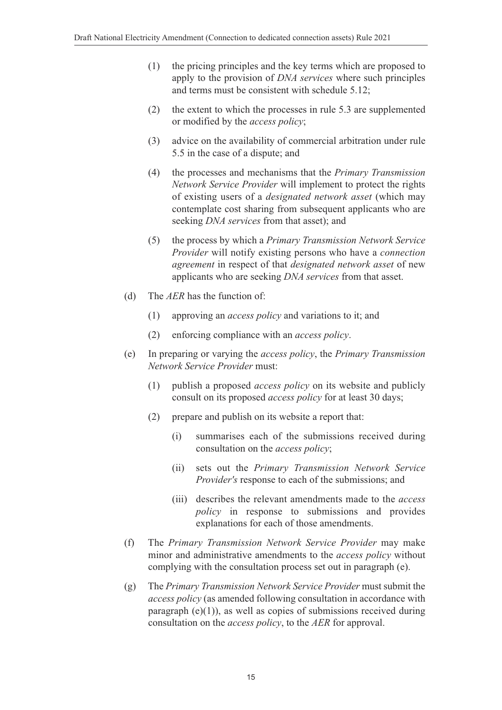- (1) the pricing principles and the key terms which are proposed to apply to the provision of *DNA services* where such principles and terms must be consistent with schedule 5.12;
- (2) the extent to which the processes in rule 5.3 are supplemented or modified by the *access policy*;
- (3) advice on the availability of commercial arbitration under rule 5.5 in the case of a dispute; and
- (4) the processes and mechanisms that the *Primary Transmission Network Service Provider* will implement to protect the rights of existing users of a *designated network asset* (which may contemplate cost sharing from subsequent applicants who are seeking *DNA services* from that asset); and
- (5) the process by which a *Primary Transmission Network Service Provider* will notify existing persons who have a *connection agreement* in respect of that *designated network asset* of new applicants who are seeking *DNA services* from that asset.
- (d) The *AER* has the function of:
	- (1) approving an *access policy* and variations to it; and
	- (2) enforcing compliance with an *access policy*.
- (e) In preparing or varying the *access policy*, the *Primary Transmission Network Service Provider* must:
	- (1) publish a proposed *access policy* on its website and publicly consult on its proposed *access policy* for at least 30 days;
	- (2) prepare and publish on its website a report that:
		- (i) summarises each of the submissions received during consultation on the *access policy*;
		- (ii) sets out the *Primary Transmission Network Service Provider's* response to each of the submissions; and
		- (iii) describes the relevant amendments made to the *access policy* in response to submissions and provides explanations for each of those amendments.
- (f) The *Primary Transmission Network Service Provider* may make minor and administrative amendments to the *access policy* without complying with the consultation process set out in paragraph (e).
- (g) The *Primary Transmission Network Service Provider* must submit the *access policy* (as amended following consultation in accordance with paragraph  $(e)(1)$ ), as well as copies of submissions received during consultation on the *access policy*, to the *AER* for approval.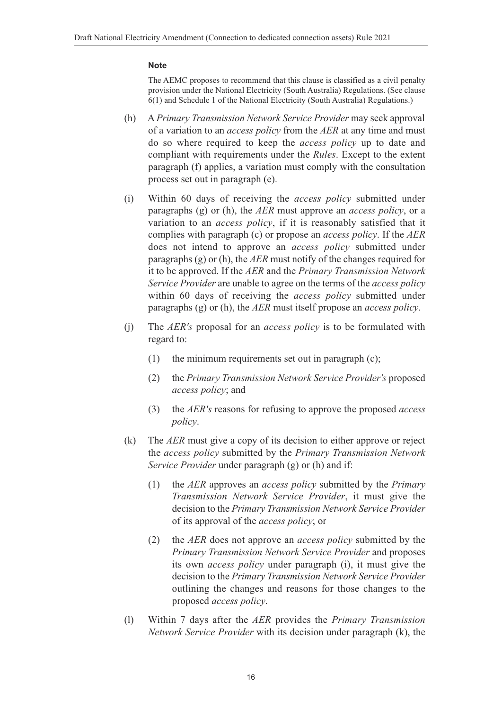#### **Note**

The AEMC proposes to recommend that this clause is classified as a civil penalty provision under the National Electricity (South Australia) Regulations. (See clause 6(1) and Schedule 1 of the National Electricity (South Australia) Regulations.)

- (h) A *Primary Transmission Network Service Provider* may seek approval of a variation to an *access policy* from the *AER* at any time and must do so where required to keep the *access policy* up to date and compliant with requirements under the *Rules*. Except to the extent paragraph (f) applies, a variation must comply with the consultation process set out in paragraph (e).
- (i) Within 60 days of receiving the *access policy* submitted under paragraphs (g) or (h), the *AER* must approve an *access policy*, or a variation to an *access policy*, if it is reasonably satisfied that it complies with paragraph (c) or propose an *access policy*. If the *AER* does not intend to approve an *access policy* submitted under paragraphs (g) or (h), the *AER* must notify of the changes required for it to be approved. If the *AER* and the *Primary Transmission Network Service Provider* are unable to agree on the terms of the *access policy* within 60 days of receiving the *access policy* submitted under paragraphs (g) or (h), the *AER* must itself propose an *access policy*.
- (j) The *AER's* proposal for an *access policy* is to be formulated with regard to:
	- (1) the minimum requirements set out in paragraph (c);
	- (2) the *Primary Transmission Network Service Provider's* proposed *access policy*; and
	- (3) the *AER's* reasons for refusing to approve the proposed *access policy*.
- (k) The *AER* must give a copy of its decision to either approve or reject the *access policy* submitted by the *Primary Transmission Network Service Provider* under paragraph (g) or (h) and if:
	- (1) the *AER* approves an *access policy* submitted by the *Primary Transmission Network Service Provider*, it must give the decision to the *Primary Transmission Network Service Provider* of its approval of the *access policy*; or
	- (2) the *AER* does not approve an *access policy* submitted by the *Primary Transmission Network Service Provider* and proposes its own *access policy* under paragraph (i), it must give the decision to the *Primary Transmission Network Service Provider* outlining the changes and reasons for those changes to the proposed *access policy*.
- (l) Within 7 days after the *AER* provides the *Primary Transmission Network Service Provider* with its decision under paragraph (k), the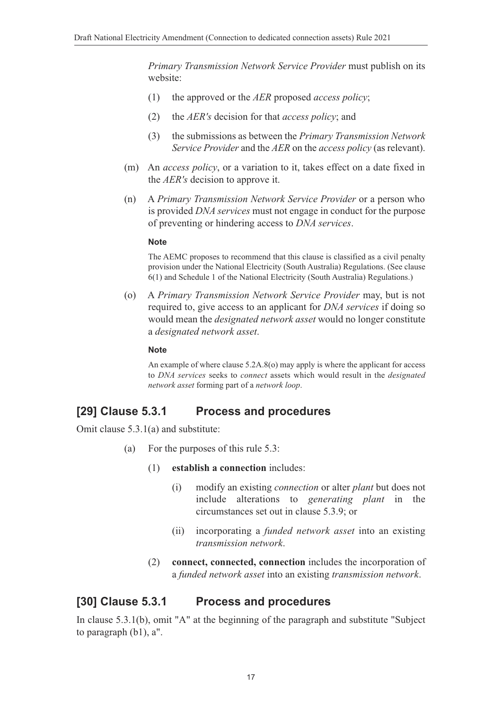*Primary Transmission Network Service Provider* must publish on its website:

- (1) the approved or the *AER* proposed *access policy*;
- (2) the *AER's* decision for that *access policy*; and
- (3) the submissions as between the *Primary Transmission Network Service Provider* and the *AER* on the *access policy* (as relevant).
- (m) An *access policy*, or a variation to it, takes effect on a date fixed in the *AER's* decision to approve it.
- (n) A *Primary Transmission Network Service Provider* or a person who is provided *DNA services* must not engage in conduct for the purpose of preventing or hindering access to *DNA services*.

#### **Note**

The AEMC proposes to recommend that this clause is classified as a civil penalty provision under the National Electricity (South Australia) Regulations. (See clause 6(1) and Schedule 1 of the National Electricity (South Australia) Regulations.)

(o) A *Primary Transmission Network Service Provider* may, but is not required to, give access to an applicant for *DNA services* if doing so would mean the *designated network asset* would no longer constitute a *designated network asset*.

#### **Note**

An example of where clause 5.2A.8(o) may apply is where the applicant for access to *DNA services* seeks to *connect* assets which would result in the *designated network asset* forming part of a *network loop*.

#### **[29] Clause 5.3.1 Process and procedures**

Omit clause 5.3.1(a) and substitute:

- (a) For the purposes of this rule 5.3:
	- (1) **establish a connection** includes:
		- (i) modify an existing *connection* or alter *plant* but does not include alterations to *generating plant* in the circumstances set out in clause 5.3.9; or
		- (ii) incorporating a *funded network asset* into an existing *transmission network*.
	- (2) **connect, connected, connection** includes the incorporation of a *funded network asset* into an existing *transmission network*.

#### **[30] Clause 5.3.1 Process and procedures**

In clause 5.3.1(b), omit "A" at the beginning of the paragraph and substitute "Subject to paragraph (b1), a".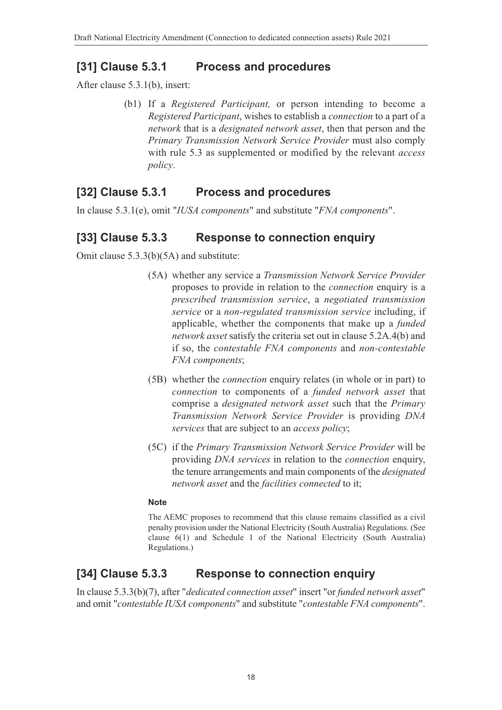### **[31] Clause 5.3.1 Process and procedures**

After clause 5.3.1(b), insert:

(b1) If a *Registered Participant,* or person intending to become a *Registered Participant*, wishes to establish a *connection* to a part of a *network* that is a *designated network asset*, then that person and the *Primary Transmission Network Service Provider* must also comply with rule 5.3 as supplemented or modified by the relevant *access policy*.

### **[32] Clause 5.3.1 Process and procedures**

In clause 5.3.1(e), omit "*IUSA components*" and substitute "*FNA components*".

#### **[33] Clause 5.3.3 Response to connection enquiry**

Omit clause 5.3.3(b)(5A) and substitute:

- (5A) whether any service a *Transmission Network Service Provider* proposes to provide in relation to the *connection* enquiry is a *prescribed transmission service*, a *negotiated transmission service* or a *non-regulated transmission service* including, if applicable, whether the components that make up a *funded network asset* satisfy the criteria set out in clause 5.2A.4(b) and if so, the *contestable FNA components* and *non-contestable FNA components*;
- (5B) whether the *connection* enquiry relates (in whole or in part) to *connection* to components of a *funded network asset* that comprise a *designated network asset* such that the *Primary Transmission Network Service Provider* is providing *DNA services* that are subject to an *access policy*;
- (5C) if the *Primary Transmission Network Service Provider* will be providing *DNA services* in relation to the *connection* enquiry, the tenure arrangements and main components of the *designated network asset* and the *facilities connected* to it;

#### **Note**

The AEMC proposes to recommend that this clause remains classified as a civil penalty provision under the National Electricity (South Australia) Regulations. (See clause 6(1) and Schedule 1 of the National Electricity (South Australia) Regulations.)

### **[34] Clause 5.3.3 Response to connection enquiry**

In clause 5.3.3(b)(7), after "*dedicated connection asset*" insert "or *funded network asset*" and omit "*contestable IUSA components*" and substitute "*contestable FNA components*".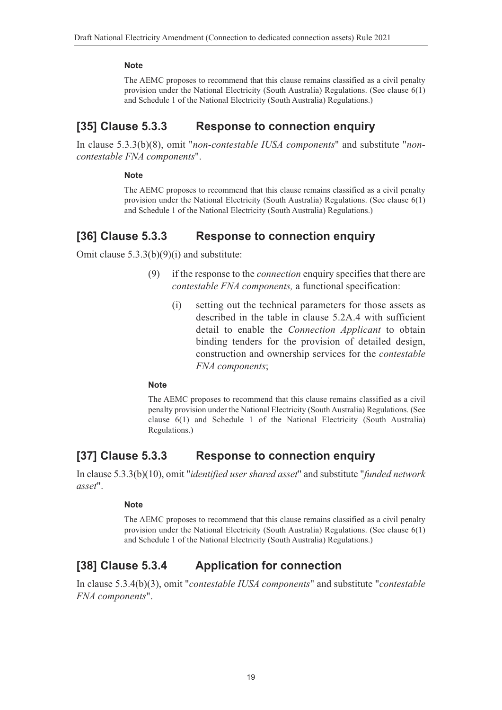#### **Note**

The AEMC proposes to recommend that this clause remains classified as a civil penalty provision under the National Electricity (South Australia) Regulations. (See clause 6(1) and Schedule 1 of the National Electricity (South Australia) Regulations.)

## **[35] Clause 5.3.3 Response to connection enquiry**

In clause 5.3.3(b)(8), omit "*non-contestable IUSA components*" and substitute "*noncontestable FNA components*".

#### **Note**

The AEMC proposes to recommend that this clause remains classified as a civil penalty provision under the National Electricity (South Australia) Regulations. (See clause 6(1) and Schedule 1 of the National Electricity (South Australia) Regulations.)

#### **[36] Clause 5.3.3 Response to connection enquiry**

Omit clause 5.3.3(b)(9)(i) and substitute:

- (9) if the response to the *connection* enquiry specifies that there are *contestable FNA components,* a functional specification:
	- (i) setting out the technical parameters for those assets as described in the table in clause 5.2A.4 with sufficient detail to enable the *Connection Applicant* to obtain binding tenders for the provision of detailed design, construction and ownership services for the *contestable FNA components*;

#### **Note**

The AEMC proposes to recommend that this clause remains classified as a civil penalty provision under the National Electricity (South Australia) Regulations. (See clause 6(1) and Schedule 1 of the National Electricity (South Australia) Regulations.)

### **[37] Clause 5.3.3 Response to connection enquiry**

In clause 5.3.3(b)(10), omit "*identified user shared asset*" and substitute "*funded network asset*".

#### **Note**

The AEMC proposes to recommend that this clause remains classified as a civil penalty provision under the National Electricity (South Australia) Regulations. (See clause 6(1) and Schedule 1 of the National Electricity (South Australia) Regulations.)

# **[38] Clause 5.3.4 Application for connection**

In clause 5.3.4(b)(3), omit "*contestable IUSA components*" and substitute "*contestable FNA components*".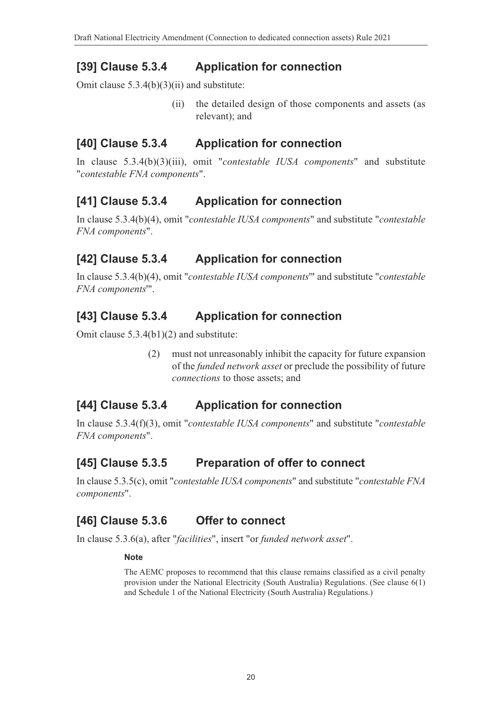## **[39] Clause 5.3.4 Application for connection**

Omit clause 5.3.4(b)(3)(ii) and substitute:

(ii) the detailed design of those components and assets (as relevant); and

## **[40] Clause 5.3.4 Application for connection**

In clause 5.3.4(b)(3)(iii), omit "*contestable IUSA components*" and substitute "*contestable FNA components*".

## **[41] Clause 5.3.4 Application for connection**

In clause 5.3.4(b)(4), omit "*contestable IUSA components*" and substitute "*contestable FNA components*".

# **[42] Clause 5.3.4 Application for connection**

In clause 5.3.4(b)(4), omit "*contestable IUSA components*'" and substitute "*contestable FNA components*'".

# **[43] Clause 5.3.4 Application for connection**

Omit clause 5.3.4(b1)(2) and substitute:

(2) must not unreasonably inhibit the capacity for future expansion of the *funded network asset* or preclude the possibility of future *connections* to those assets; and

# **[44] Clause 5.3.4 Application for connection**

In clause 5.3.4(f)(3), omit "*contestable IUSA components*" and substitute "*contestable FNA components*".

### **[45] Clause 5.3.5 Preparation of offer to connect**

In clause 5.3.5(c), omit "*contestable IUSA components*" and substitute "*contestable FNA components*".

# **[46] Clause 5.3.6 Offer to connect**

In clause 5.3.6(a), after "*facilities*", insert "or *funded network asset*".

#### **Note**

The AEMC proposes to recommend that this clause remains classified as a civil penalty provision under the National Electricity (South Australia) Regulations. (See clause 6(1) and Schedule 1 of the National Electricity (South Australia) Regulations.)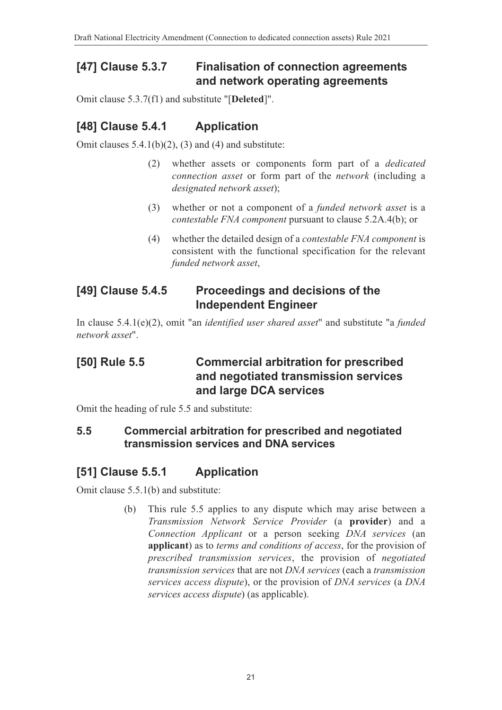## **[47] Clause 5.3.7 Finalisation of connection agreements and network operating agreements**

Omit clause 5.3.7(f1) and substitute "[**Deleted**]".

# **[48] Clause 5.4.1 Application**

Omit clauses  $5.4.1(b)(2)$ , (3) and (4) and substitute:

- (2) whether assets or components form part of a *dedicated connection asset* or form part of the *network* (including a *designated network asset*);
- (3) whether or not a component of a *funded network asset* is a *contestable FNA component* pursuant to clause 5.2A.4(b); or
- (4) whether the detailed design of a *contestable FNA component* is consistent with the functional specification for the relevant *funded network asset*,

## **[49] Clause 5.4.5 Proceedings and decisions of the Independent Engineer**

In clause 5.4.1(e)(2), omit "an *identified user shared asset*" and substitute "a *funded network asset*".

# **[50] Rule 5.5 Commercial arbitration for prescribed and negotiated transmission services and large DCA services**

Omit the heading of rule 5.5 and substitute:

#### **5.5 Commercial arbitration for prescribed and negotiated transmission services and DNA services**

# **[51] Clause 5.5.1 Application**

Omit clause 5.5.1(b) and substitute:

(b) This rule 5.5 applies to any dispute which may arise between a *Transmission Network Service Provider* (a **provider**) and a *Connection Applicant* or a person seeking *DNA services* (an **applicant**) as to *terms and conditions of access*, for the provision of *prescribed transmission services*, the provision of *negotiated transmission services* that are not *DNA services* (each a *transmission services access dispute*), or the provision of *DNA services* (a *DNA services access dispute*) (as applicable).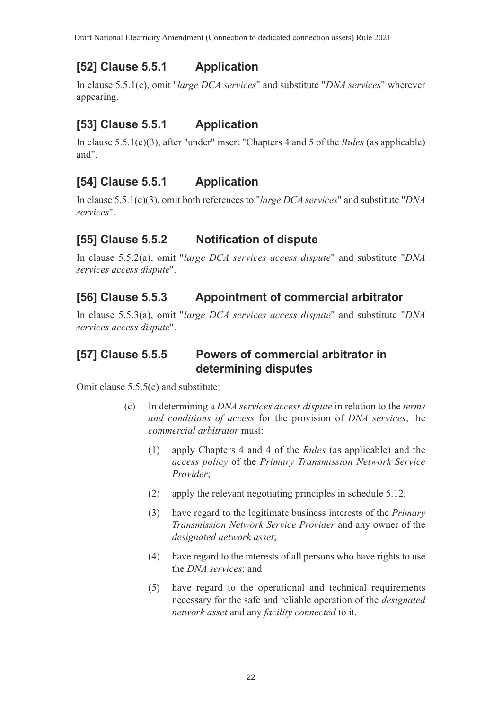# **[52] Clause 5.5.1 Application**

In clause 5.5.1(c), omit "*large DCA services*" and substitute "*DNA services*" wherever appearing.

# **[53] Clause 5.5.1 Application**

In clause 5.5.1(c)(3), after "under" insert "Chapters 4 and 5 of the *Rules* (as applicable) and".

# **[54] Clause 5.5.1 Application**

In clause 5.5.1(c)(3), omit both references to "*large DCA services*" and substitute "*DNA services*".

# **[55] Clause 5.5.2 Notification of dispute**

In clause 5.5.2(a), omit "*large DCA services access dispute*" and substitute "*DNA services access dispute*".

# **[56] Clause 5.5.3 Appointment of commercial arbitrator**

In clause 5.5.3(a), omit "*large DCA services access dispute*" and substitute "*DNA services access dispute*".

### **[57] Clause 5.5.5 Powers of commercial arbitrator in determining disputes**

Omit clause 5.5.5(c) and substitute:

- (c) In determining a *DNA services access dispute* in relation to the *terms and conditions of access* for the provision of *DNA services*, the *commercial arbitrator* must:
	- (1) apply Chapters 4 and 4 of the *Rules* (as applicable) and the *access policy* of the *Primary Transmission Network Service Provider*;
	- (2) apply the relevant negotiating principles in schedule 5.12;
	- (3) have regard to the legitimate business interests of the *Primary Transmission Network Service Provider* and any owner of the *designated network asset*;
	- (4) have regard to the interests of all persons who have rights to use the *DNA services*; and
	- (5) have regard to the operational and technical requirements necessary for the safe and reliable operation of the *designated network asset* and any *facility connected* to it.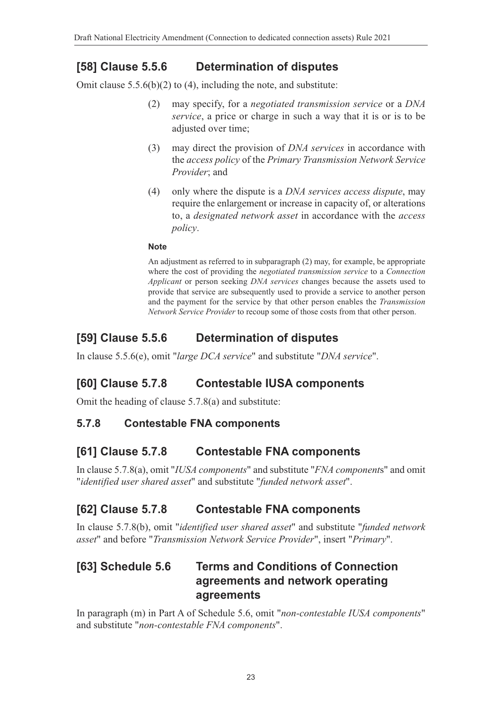## **[58] Clause 5.5.6 Determination of disputes**

Omit clause  $5.5.6(b)(2)$  to (4), including the note, and substitute:

- (2) may specify, for a *negotiated transmission service* or a *DNA service*, a price or charge in such a way that it is or is to be adjusted over time;
- (3) may direct the provision of *DNA services* in accordance with the *access policy* of the *Primary Transmission Network Service Provider*; and
- (4) only where the dispute is a *DNA services access dispute*, may require the enlargement or increase in capacity of, or alterations to, a *designated network asset* in accordance with the *access policy*.

#### **Note**

An adjustment as referred to in subparagraph (2) may, for example, be appropriate where the cost of providing the *negotiated transmission service* to a *Connection Applicant* or person seeking *DNA services* changes because the assets used to provide that service are subsequently used to provide a service to another person and the payment for the service by that other person enables the *Transmission Network Service Provider* to recoup some of those costs from that other person.

### **[59] Clause 5.5.6 Determination of disputes**

In clause 5.5.6(e), omit "*large DCA service*" and substitute "*DNA service*".

### **[60] Clause 5.7.8 Contestable IUSA components**

Omit the heading of clause 5.7.8(a) and substitute:

#### **5.7.8 Contestable FNA components**

#### **[61] Clause 5.7.8 Contestable FNA components**

In clause 5.7.8(a), omit "*IUSA components*" and substitute "*FNA component*s" and omit "*identified user shared asset*" and substitute "*funded network asset*".

### **[62] Clause 5.7.8 Contestable FNA components**

In clause 5.7.8(b), omit "*identified user shared asset*" and substitute "*funded network asset*" and before "*Transmission Network Service Provider*", insert "*Primary*".

### **[63] Schedule 5.6 Terms and Conditions of Connection agreements and network operating agreements**

In paragraph (m) in Part A of Schedule 5.6, omit "*non-contestable IUSA components*" and substitute "*non-contestable FNA components*".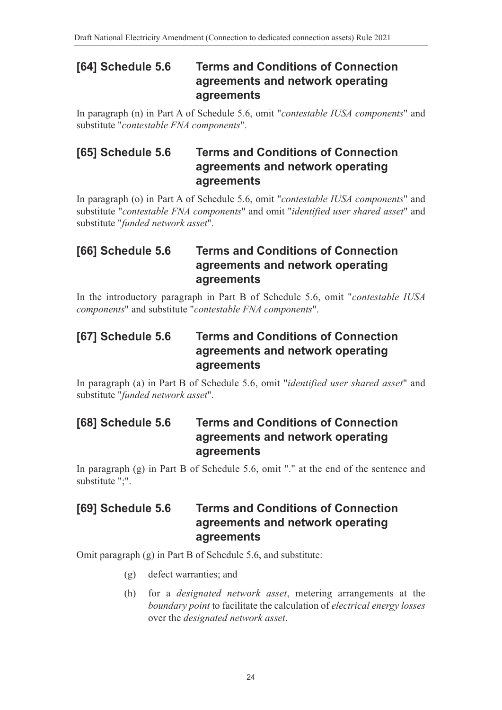### **[64] Schedule 5.6 Terms and Conditions of Connection agreements and network operating agreements**

In paragraph (n) in Part A of Schedule 5.6, omit "*contestable IUSA components*" and substitute "*contestable FNA components*".

# **[65] Schedule 5.6 Terms and Conditions of Connection agreements and network operating agreements**

In paragraph (o) in Part A of Schedule 5.6, omit "*contestable IUSA components*" and substitute "*contestable FNA components*" and omit "*identified user shared asset*" and substitute "*funded network asset*".

## **[66] Schedule 5.6 Terms and Conditions of Connection agreements and network operating agreements**

In the introductory paragraph in Part B of Schedule 5.6, omit "*contestable IUSA components*" and substitute "*contestable FNA components*".

### **[67] Schedule 5.6 Terms and Conditions of Connection agreements and network operating agreements**

In paragraph (a) in Part B of Schedule 5.6, omit "*identified user shared asset*" and substitute "*funded network asset*".

### **[68] Schedule 5.6 Terms and Conditions of Connection agreements and network operating agreements**

In paragraph (g) in Part B of Schedule 5.6, omit "." at the end of the sentence and substitute ";".

## **[69] Schedule 5.6 Terms and Conditions of Connection agreements and network operating agreements**

Omit paragraph (g) in Part B of Schedule 5.6, and substitute:

- (g) defect warranties; and
- (h) for a *designated network asset*, metering arrangements at the *boundary point* to facilitate the calculation of *electrical energy losses* over the *designated network asset*.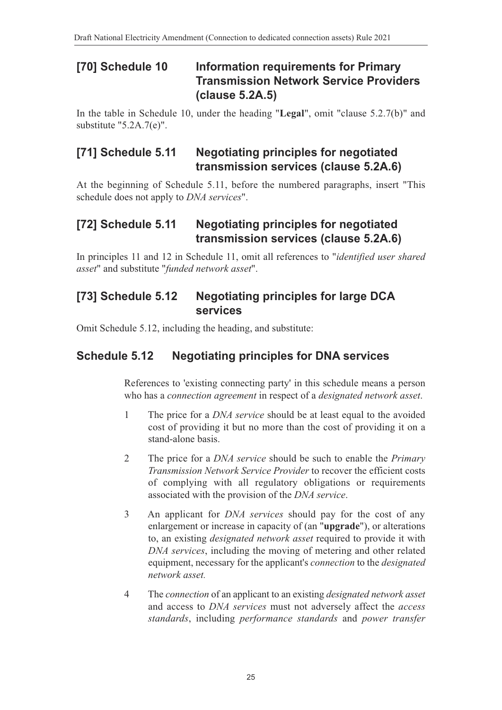# **[70] Schedule 10 Information requirements for Primary Transmission Network Service Providers (clause 5.2A.5)**

In the table in Schedule 10, under the heading "**Legal**", omit "clause 5.2.7(b)" and substitute "5.2A.7(e)".

### **[71] Schedule 5.11 Negotiating principles for negotiated transmission services (clause 5.2A.6)**

At the beginning of Schedule 5.11, before the numbered paragraphs, insert "This schedule does not apply to *DNA services*".

## **[72] Schedule 5.11 Negotiating principles for negotiated transmission services (clause 5.2A.6)**

In principles 11 and 12 in Schedule 11, omit all references to "*identified user shared asset*" and substitute "*funded network asset*".

#### **[73] Schedule 5.12 Negotiating principles for large DCA services**

Omit Schedule 5.12, including the heading, and substitute:

### **Schedule 5.12 Negotiating principles for DNA services**

References to 'existing connecting party' in this schedule means a person who has a *connection agreement* in respect of a *designated network asset*.

- 1 The price for a *DNA service* should be at least equal to the avoided cost of providing it but no more than the cost of providing it on a stand-alone basis.
- 2 The price for a *DNA service* should be such to enable the *Primary Transmission Network Service Provider* to recover the efficient costs of complying with all regulatory obligations or requirements associated with the provision of the *DNA service*.
- 3 An applicant for *DNA services* should pay for the cost of any enlargement or increase in capacity of (an "**upgrade**"), or alterations to, an existing *designated network asset* required to provide it with *DNA services*, including the moving of metering and other related equipment, necessary for the applicant's *connection* to the *designated network asset.*
- 4 The *connection* of an applicant to an existing *designated network asset* and access to *DNA services* must not adversely affect the *access standards*, including *performance standards* and *power transfer*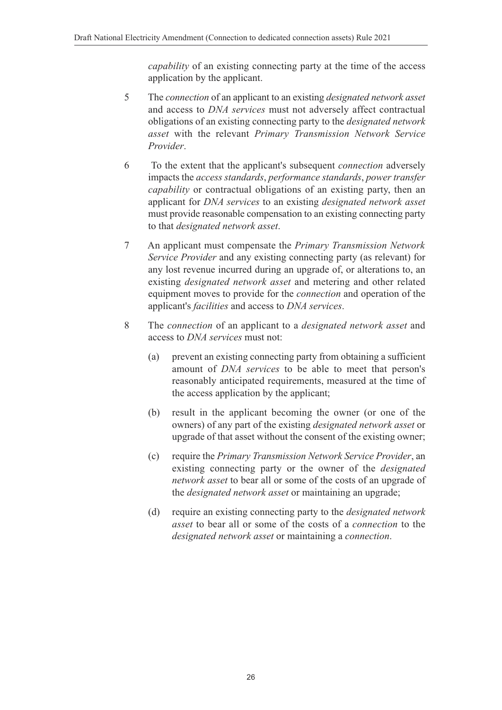*capability* of an existing connecting party at the time of the access application by the applicant.

- 5 The *connection* of an applicant to an existing *designated network asset* and access to *DNA services* must not adversely affect contractual obligations of an existing connecting party to the *designated network asset* with the relevant *Primary Transmission Network Service Provider*.
- 6 To the extent that the applicant's subsequent *connection* adversely impacts the *access standards*, *performance standards*, *power transfer capability* or contractual obligations of an existing party, then an applicant for *DNA services* to an existing *designated network asset* must provide reasonable compensation to an existing connecting party to that *designated network asset*.
- 7 An applicant must compensate the *Primary Transmission Network Service Provider* and any existing connecting party (as relevant) for any lost revenue incurred during an upgrade of, or alterations to, an existing *designated network asset* and metering and other related equipment moves to provide for the *connection* and operation of the applicant's *facilities* and access to *DNA services*.
- 8 The *connection* of an applicant to a *designated network asset* and access to *DNA services* must not:
	- (a) prevent an existing connecting party from obtaining a sufficient amount of *DNA services* to be able to meet that person's reasonably anticipated requirements, measured at the time of the access application by the applicant;
	- (b) result in the applicant becoming the owner (or one of the owners) of any part of the existing *designated network asset* or upgrade of that asset without the consent of the existing owner;
	- (c) require the *Primary Transmission Network Service Provider*, an existing connecting party or the owner of the *designated network asset* to bear all or some of the costs of an upgrade of the *designated network asset* or maintaining an upgrade;
	- (d) require an existing connecting party to the *designated network asset* to bear all or some of the costs of a *connection* to the *designated network asset* or maintaining a *connection*.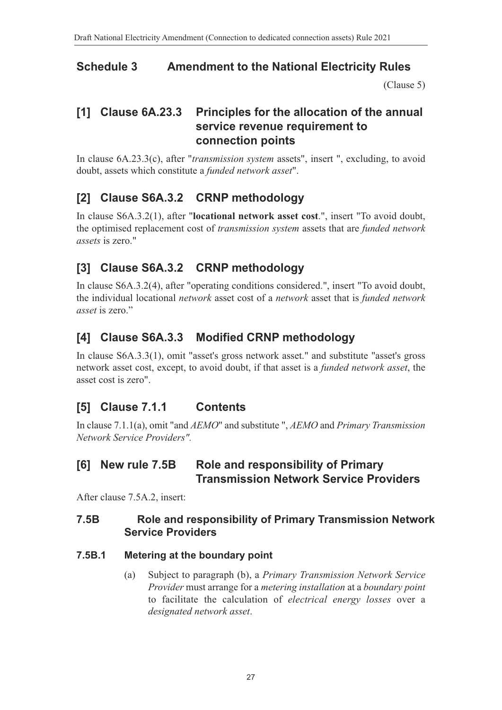## **Schedule 3 Amendment to the National Electricity Rules**

<span id="page-26-0"></span>[\(Clause 5\)](#page-1-2)

## **[1] Clause 6A.23.3 Principles for the allocation of the annual service revenue requirement to connection points**

In clause 6A.23.3(c), after "*transmission system* assets", insert ", excluding, to avoid doubt, assets which constitute a *funded network asset*".

# **[2] Clause S6A.3.2 CRNP methodology**

In clause S6A.3.2(1), after "**locational network asset cost**.", insert "To avoid doubt, the optimised replacement cost of *transmission system* assets that are *funded network assets* is zero."

# **[3] Clause S6A.3.2 CRNP methodology**

In clause S6A.3.2(4), after "operating conditions considered.", insert "To avoid doubt, the individual locational *network* asset cost of a *network* asset that is *funded network asset* is zero."

# **[4] Clause S6A.3.3 Modified CRNP methodology**

In clause S6A.3.3(1), omit "asset's gross network asset." and substitute "asset's gross network asset cost, except, to avoid doubt, if that asset is a *funded network asset*, the asset cost is zero".

# **[5] Clause 7.1.1 Contents**

In clause 7.1.1(a), omit "and *AEMO*" and substitute ", *AEMO* and *Primary Transmission Network Service Providers".*

### **[6] New rule 7.5B Role and responsibility of Primary Transmission Network Service Providers**

After clause 7.5A.2, insert:

#### **7.5B Role and responsibility of Primary Transmission Network Service Providers**

#### **7.5B.1 Metering at the boundary point**

(a) Subject to paragraph (b), a *Primary Transmission Network Service Provider* must arrange for a *metering installation* at a *boundary point* to facilitate the calculation of *electrical energy losses* over a *designated network asset*.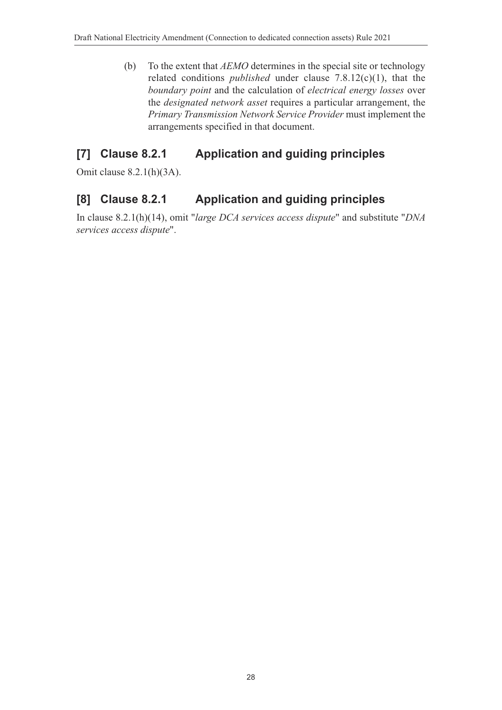(b) To the extent that *AEMO* determines in the special site or technology related conditions *published* under clause 7.8.12(c)(1), that the *boundary point* and the calculation of *electrical energy losses* over the *designated network asset* requires a particular arrangement, the *Primary Transmission Network Service Provider* must implement the arrangements specified in that document.

# **[7] Clause 8.2.1 Application and guiding principles**

Omit clause 8.2.1(h)(3A).

## **[8] Clause 8.2.1 Application and guiding principles**

In clause 8.2.1(h)(14), omit "*large DCA services access dispute*" and substitute "*DNA services access dispute*".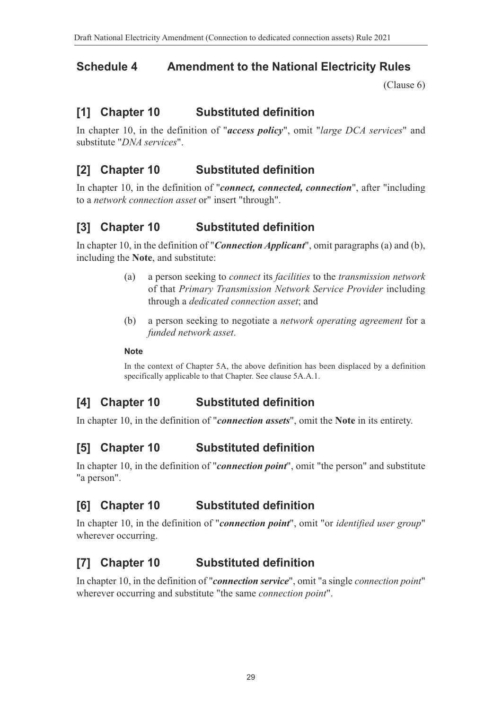# **Schedule 4 Amendment to the National Electricity Rules**

<span id="page-28-0"></span>[\(Clause 6\)](#page-1-3)

## **[1] Chapter 10 Substituted definition**

In chapter 10, in the definition of "*access policy*", omit "*large DCA services*" and substitute "*DNA services*".

## **[2] Chapter 10 Substituted definition**

In chapter 10, in the definition of "*connect, connected, connection*", after "including to a *network connection asset* or" insert "through".

## **[3] Chapter 10 Substituted definition**

In chapter 10, in the definition of "*Connection Applicant*", omit paragraphs (a) and (b), including the **Note**, and substitute:

- (a) a person seeking to *connect* its *facilities* to the *transmission network* of that *Primary Transmission Network Service Provider* including through a *dedicated connection asset*; and
- (b) a person seeking to negotiate a *network operating agreement* for a *funded network asset*.

#### **Note**

In the context of Chapter 5A, the above definition has been displaced by a definition specifically applicable to that Chapter. See clause 5A.A.1.

### **[4] Chapter 10 Substituted definition**

In chapter 10, in the definition of "*connection assets*", omit the **Note** in its entirety.

# **[5] Chapter 10 Substituted definition**

In chapter 10, in the definition of "*connection point*", omit "the person" and substitute "a person".

### **[6] Chapter 10 Substituted definition**

In chapter 10, in the definition of "*connection point*", omit "or *identified user group*" wherever occurring.

# **[7] Chapter 10 Substituted definition**

In chapter 10, in the definition of "*connection service*", omit "a single *connection point*" wherever occurring and substitute "the same *connection point*".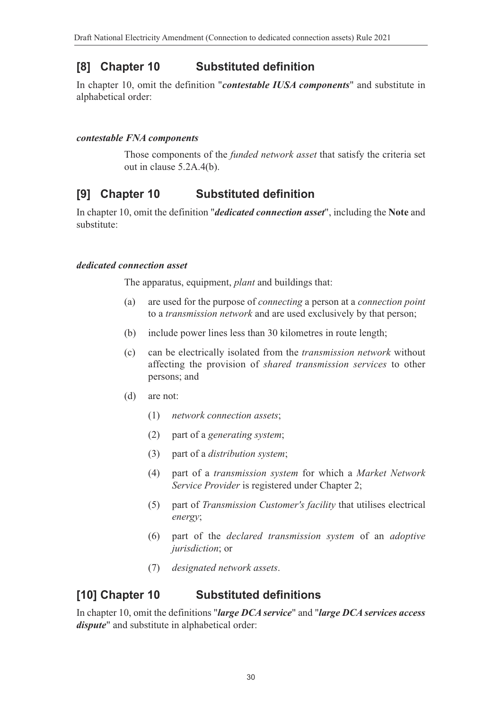## **[8] Chapter 10 Substituted definition**

In chapter 10, omit the definition "*contestable IUSA components*" and substitute in alphabetical order:

#### *contestable FNA components*

Those components of the *funded network asset* that satisfy the criteria set out in clause 5.2A.4(b).

# **[9] Chapter 10 Substituted definition**

In chapter 10, omit the definition "*dedicated connection asset*", including the **Note** and substitute:

#### *dedicated connection asset*

The apparatus, equipment, *plant* and buildings that:

- (a) are used for the purpose of *connecting* a person at a *connection point* to a *transmission network* and are used exclusively by that person;
- (b) include power lines less than 30 kilometres in route length;
- (c) can be electrically isolated from the *transmission network* without affecting the provision of *shared transmission services* to other persons; and
- (d) are not:
	- (1) *network connection assets*;
	- (2) part of a *generating system*;
	- (3) part of a *distribution system*;
	- (4) part of a *transmission system* for which a *Market Network Service Provider* is registered under Chapter 2;
	- (5) part of *Transmission Customer's facility* that utilises electrical *energy*;
	- (6) part of the *declared transmission system* of an *adoptive jurisdiction*; or
	- (7) *designated network assets*.

#### **[10] Chapter 10 Substituted definitions**

In chapter 10, omit the definitions "*large DCA service*" and "*large DCA services access dispute*" and substitute in alphabetical order: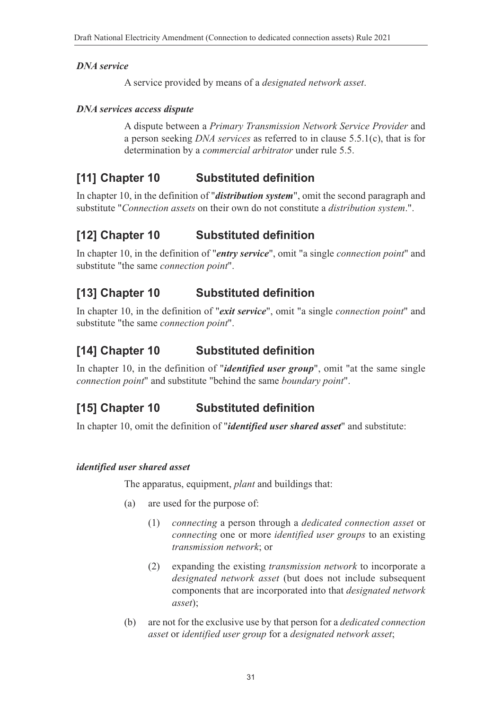#### *DNA service*

A service provided by means of a *designated network asset*.

#### *DNA services access dispute*

A dispute between a *Primary Transmission Network Service Provider* and a person seeking *DNA services* as referred to in clause 5.5.1(c), that is for determination by a *commercial arbitrator* under rule 5.5.

# **[11] Chapter 10 Substituted definition**

In chapter 10, in the definition of "*distribution system*", omit the second paragraph and substitute "*Connection assets* on their own do not constitute a *distribution system*.".

# **[12] Chapter 10 Substituted definition**

In chapter 10, in the definition of "*entry service*", omit "a single *connection point*" and substitute "the same *connection point*".

## **[13] Chapter 10 Substituted definition**

In chapter 10, in the definition of "*exit service*", omit "a single *connection point*" and substitute "the same *connection point*".

## **[14] Chapter 10 Substituted definition**

In chapter 10, in the definition of "*identified user group*", omit "at the same single *connection point*" and substitute "behind the same *boundary point*".

# **[15] Chapter 10 Substituted definition**

In chapter 10, omit the definition of "*identified user shared asset*" and substitute:

#### *identified user shared asset*

The apparatus, equipment, *plant* and buildings that:

- (a) are used for the purpose of:
	- (1) *connecting* a person through a *dedicated connection asset* or *connecting* one or more *identified user groups* to an existing *transmission network*; or
	- (2) expanding the existing *transmission network* to incorporate a *designated network asset* (but does not include subsequent components that are incorporated into that *designated network asset*);
- (b) are not for the exclusive use by that person for a *dedicated connection asset* or *identified user group* for a *designated network asset*;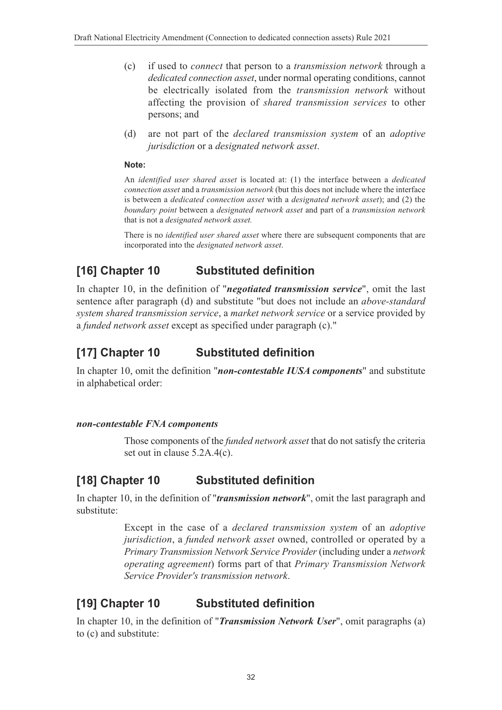- (c) if used to *connect* that person to a *transmission network* through a *dedicated connection asset*, under normal operating conditions, cannot be electrically isolated from the *transmission network* without affecting the provision of *shared transmission services* to other persons; and
- (d) are not part of the *declared transmission system* of an *adoptive jurisdiction* or a *designated network asset*.

#### **Note:**

An *identified user shared asset* is located at: (1) the interface between a *dedicated connection asset* and a *transmission network* (but this does not include where the interface is between a *dedicated connection asset* with a *designated network asset*); and (2) the *boundary point* between a *designated network asset* and part of a *transmission network* that is not a *designated network asset.*

There is no *identified user shared asset* where there are subsequent components that are incorporated into the *designated network asset*.

# **[16] Chapter 10 Substituted definition**

In chapter 10, in the definition of "*negotiated transmission service*", omit the last sentence after paragraph (d) and substitute "but does not include an *above-standard system shared transmission service*, a *market network service* or a service provided by a *funded network asset* except as specified under paragraph (c)."

## **[17] Chapter 10 Substituted definition**

In chapter 10, omit the definition "*non-contestable IUSA components*" and substitute in alphabetical order:

#### *non-contestable FNA components*

Those components of the *funded network asset* that do not satisfy the criteria set out in clause 5.2A.4(c).

#### **[18] Chapter 10 Substituted definition**

In chapter 10, in the definition of "*transmission network*", omit the last paragraph and substitute:

> Except in the case of a *declared transmission system* of an *adoptive jurisdiction*, a *funded network asset* owned, controlled or operated by a *Primary Transmission Network Service Provider* (including under a *network operating agreement*) forms part of that *Primary Transmission Network Service Provider's transmission network*.

#### **[19] Chapter 10 Substituted definition**

In chapter 10, in the definition of "*Transmission Network User*", omit paragraphs (a) to (c) and substitute: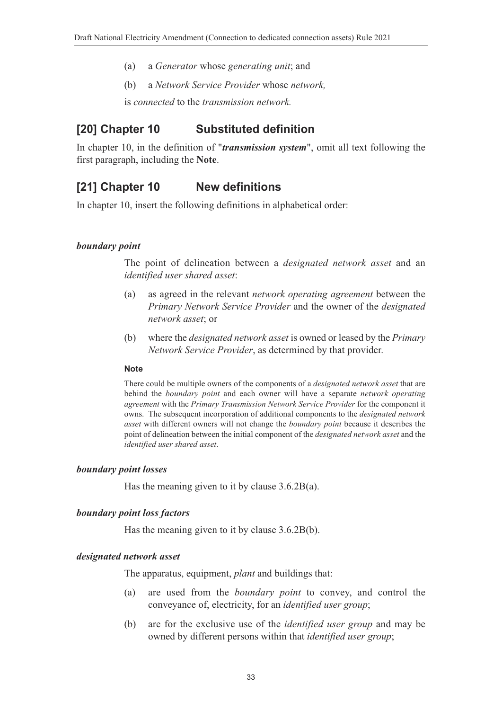- (a) a *Generator* whose *generating unit*; and
- (b) a *Network Service Provider* whose *network,*

is *connected* to the *transmission network.*

#### **[20] Chapter 10 Substituted definition**

In chapter 10, in the definition of "*transmission system*", omit all text following the first paragraph, including the **Note**.

### **[21] Chapter 10 New definitions**

In chapter 10, insert the following definitions in alphabetical order:

#### *boundary point*

The point of delineation between a *designated network asset* and an *identified user shared asset*:

- (a) as agreed in the relevant *network operating agreement* between the *Primary Network Service Provider* and the owner of the *designated network asset*; or
- (b) where the *designated network asset* is owned or leased by the *Primary Network Service Provider*, as determined by that provider.

#### **Note**

There could be multiple owners of the components of a *designated network asset* that are behind the *boundary point* and each owner will have a separate *network operating agreement* with the *Primary Transmission Network Service Provider* for the component it owns. The subsequent incorporation of additional components to the *designated network asset* with different owners will not change the *boundary point* because it describes the point of delineation between the initial component of the *designated network asset* and the *identified user shared asset*.

#### *boundary point losses*

Has the meaning given to it by clause 3.6.2B(a).

#### *boundary point loss factors*

Has the meaning given to it by clause 3.6.2B(b).

#### *designated network asset*

The apparatus, equipment, *plant* and buildings that:

- (a) are used from the *boundary point* to convey, and control the conveyance of, electricity, for an *identified user group*;
- (b) are for the exclusive use of the *identified user group* and may be owned by different persons within that *identified user group*;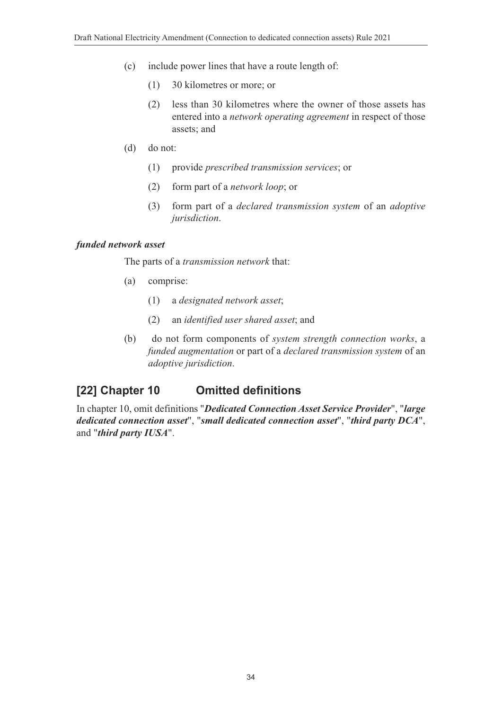- (c) include power lines that have a route length of:
	- (1) 30 kilometres or more; or
	- (2) less than 30 kilometres where the owner of those assets has entered into a *network operating agreement* in respect of those assets; and
- (d) do not:
	- (1) provide *prescribed transmission services*; or
	- (2) form part of a *network loop*; or
	- (3) form part of a *declared transmission system* of an *adoptive jurisdiction*.

#### *funded network asset*

The parts of a *transmission network* that:

- (a) comprise:
	- (1) a *designated network asset*;
	- (2) an *identified user shared asset*; and
- (b) do not form components of *system strength connection works*, a *funded augmentation* or part of a *declared transmission system* of an *adoptive jurisdiction*.

#### **[22] Chapter 10 Omitted definitions**

In chapter 10, omit definitions "*Dedicated Connection Asset Service Provider*", "*large dedicated connection asset*", "*small dedicated connection asset*", "*third party DCA*", and "*third party IUSA*".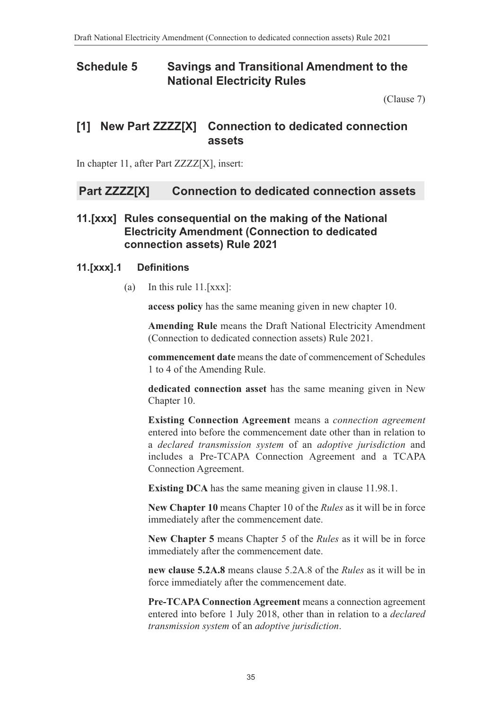### **Schedule 5 Savings and Transitional Amendment to the National Electricity Rules**

<span id="page-34-0"></span>[\(Clause 7\)](#page-1-4)

## **[1] New Part ZZZZ[X] Connection to dedicated connection assets**

In chapter 11, after Part ZZZZ[X], insert:

#### **Part ZZZZ[X] Connection to dedicated connection assets**

#### **11.[xxx] Rules consequential on the making of the National Electricity Amendment (Connection to dedicated connection assets) Rule 2021**

#### **11.[xxx].1 Definitions**

(a) In this rule 11.[xxx]:

**access policy** has the same meaning given in new chapter 10.

**Amending Rule** means the Draft National Electricity Amendment (Connection to dedicated connection assets) Rule 2021.

**commencement date** means the date of commencement of Schedules 1 to 4 of the Amending Rule.

**dedicated connection asset** has the same meaning given in New Chapter 10.

**Existing Connection Agreement** means a *connection agreement* entered into before the commencement date other than in relation to a *declared transmission system* of an *adoptive jurisdiction* and includes a Pre-TCAPA Connection Agreement and a TCAPA Connection Agreement.

**Existing DCA** has the same meaning given in clause 11.98.1.

**New Chapter 10** means Chapter 10 of the *Rules* as it will be in force immediately after the commencement date.

**New Chapter 5** means Chapter 5 of the *Rules* as it will be in force immediately after the commencement date.

**new clause 5.2A.8** means clause 5.2A.8 of the *Rules* as it will be in force immediately after the commencement date.

**Pre-TCAPA Connection Agreement** means a connection agreement entered into before 1 July 2018, other than in relation to a *declared transmission system* of an *adoptive jurisdiction*.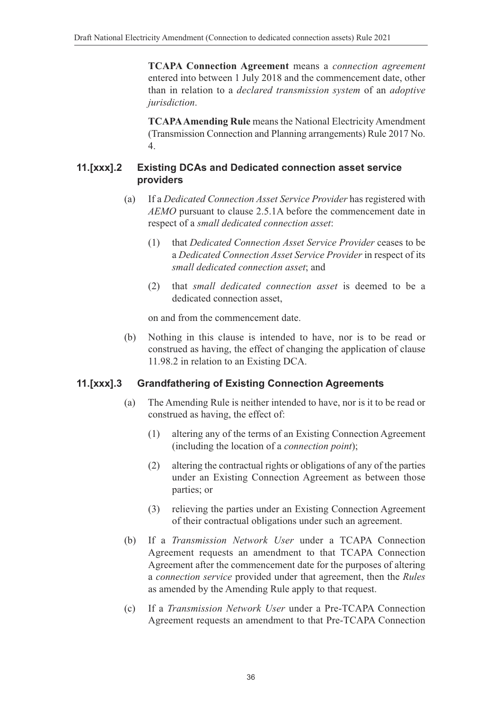**TCAPA Connection Agreement** means a *connection agreement* entered into between 1 July 2018 and the commencement date, other than in relation to a *declared transmission system* of an *adoptive jurisdiction*.

**TCAPA Amending Rule** means the National Electricity Amendment (Transmission Connection and Planning arrangements) Rule 2017 No. 4.

#### **11.[xxx].2 Existing DCAs and Dedicated connection asset service providers**

- (a) If a *Dedicated Connection Asset Service Provider* has registered with *AEMO* pursuant to clause 2.5.1A before the commencement date in respect of a *small dedicated connection asset*:
	- (1) that *Dedicated Connection Asset Service Provider* ceases to be a *Dedicated Connection Asset Service Provider* in respect of its *small dedicated connection asset*; and
	- (2) that *small dedicated connection asset* is deemed to be a dedicated connection asset,

on and from the commencement date.

(b) Nothing in this clause is intended to have, nor is to be read or construed as having, the effect of changing the application of clause 11.98.2 in relation to an Existing DCA.

#### **11.[xxx].3 Grandfathering of Existing Connection Agreements**

- (a) The Amending Rule is neither intended to have, nor is it to be read or construed as having, the effect of:
	- (1) altering any of the terms of an Existing Connection Agreement (including the location of a *connection point*);
	- (2) altering the contractual rights or obligations of any of the parties under an Existing Connection Agreement as between those parties; or
	- (3) relieving the parties under an Existing Connection Agreement of their contractual obligations under such an agreement.
- (b) If a *Transmission Network User* under a TCAPA Connection Agreement requests an amendment to that TCAPA Connection Agreement after the commencement date for the purposes of altering a *connection service* provided under that agreement, then the *Rules* as amended by the Amending Rule apply to that request.
- (c) If a *Transmission Network User* under a Pre-TCAPA Connection Agreement requests an amendment to that Pre-TCAPA Connection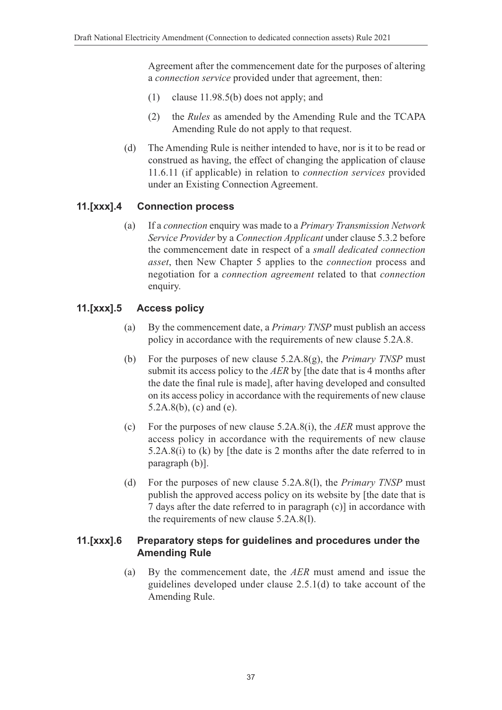Agreement after the commencement date for the purposes of altering a *connection service* provided under that agreement, then:

- (1) clause 11.98.5(b) does not apply; and
- (2) the *Rules* as amended by the Amending Rule and the TCAPA Amending Rule do not apply to that request.
- (d) The Amending Rule is neither intended to have, nor is it to be read or construed as having, the effect of changing the application of clause 11.6.11 (if applicable) in relation to *connection services* provided under an Existing Connection Agreement.

#### **11.[xxx].4 Connection process**

(a) If a *connection* enquiry was made to a *Primary Transmission Network Service Provider* by a *Connection Applicant* under clause 5.3.2 before the commencement date in respect of a *small dedicated connection asset*, then New Chapter 5 applies to the *connection* process and negotiation for a *connection agreement* related to that *connection* enquiry.

#### **11.[xxx].5 Access policy**

- (a) By the commencement date, a *Primary TNSP* must publish an access policy in accordance with the requirements of new clause 5.2A.8.
- (b) For the purposes of new clause 5.2A.8(g), the *Primary TNSP* must submit its access policy to the *AER* by [the date that is 4 months after the date the final rule is made], after having developed and consulted on its access policy in accordance with the requirements of new clause 5.2A.8(b), (c) and (e).
- (c) For the purposes of new clause 5.2A.8(i), the *AER* must approve the access policy in accordance with the requirements of new clause 5.2A.8(i) to (k) by [the date is 2 months after the date referred to in paragraph (b)].
- (d) For the purposes of new clause 5.2A.8(l), the *Primary TNSP* must publish the approved access policy on its website by [the date that is 7 days after the date referred to in paragraph (c)] in accordance with the requirements of new clause 5.2A.8(l).

#### **11.[xxx].6 Preparatory steps for guidelines and procedures under the Amending Rule**

(a) By the commencement date, the *AER* must amend and issue the guidelines developed under clause 2.5.1(d) to take account of the Amending Rule.